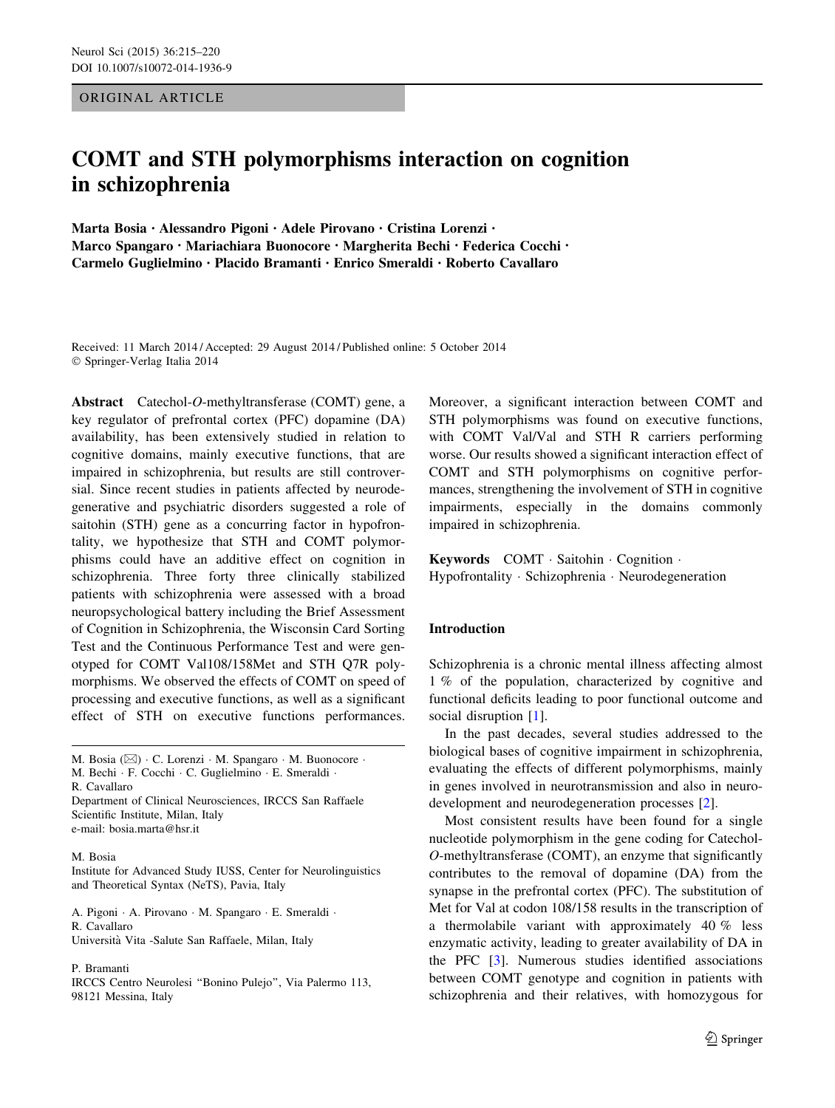ORIGINAL ARTICLE

# COMT and STH polymorphisms interaction on cognition in schizophrenia

Marta Bosia • Alessandro Pigoni • Adele Pirovano • Cristina Lorenzi • Marco Spangaro • Mariachiara Buonocore • Margherita Bechi • Federica Cocchi • Carmelo Guglielmino • Placido Bramanti • Enrico Smeraldi • Roberto Cavallaro

Received: 11 March 2014 / Accepted: 29 August 2014 / Published online: 5 October 2014 - Springer-Verlag Italia 2014

Abstract Catechol-O-methyltransferase (COMT) gene, a key regulator of prefrontal cortex (PFC) dopamine (DA) availability, has been extensively studied in relation to cognitive domains, mainly executive functions, that are impaired in schizophrenia, but results are still controversial. Since recent studies in patients affected by neurodegenerative and psychiatric disorders suggested a role of saitohin (STH) gene as a concurring factor in hypofrontality, we hypothesize that STH and COMT polymorphisms could have an additive effect on cognition in schizophrenia. Three forty three clinically stabilized patients with schizophrenia were assessed with a broad neuropsychological battery including the Brief Assessment of Cognition in Schizophrenia, the Wisconsin Card Sorting Test and the Continuous Performance Test and were genotyped for COMT Val108/158Met and STH Q7R polymorphisms. We observed the effects of COMT on speed of processing and executive functions, as well as a significant effect of STH on executive functions performances.

M. Bosia (⊠) · C. Lorenzi · M. Spangaro · M. Buonocore · M. Bechi · F. Cocchi · C. Guglielmino · E. Smeraldi · R. Cavallaro Department of Clinical Neurosciences, IRCCS San Raffaele

Scientific Institute, Milan, Italy

e-mail: bosia.marta@hsr.it

#### M. Bosia

Institute for Advanced Study IUSS, Center for Neurolinguistics and Theoretical Syntax (NeTS), Pavia, Italy

A. Pigoni · A. Pirovano · M. Spangaro · E. Smeraldi · R. Cavallaro Universita` Vita -Salute San Raffaele, Milan, Italy

P. Bramanti

IRCCS Centro Neurolesi ''Bonino Pulejo'', Via Palermo 113, 98121 Messina, Italy

Moreover, a significant interaction between COMT and STH polymorphisms was found on executive functions, with COMT Val/Val and STH R carriers performing worse. Our results showed a significant interaction effect of COMT and STH polymorphisms on cognitive performances, strengthening the involvement of STH in cognitive impairments, especially in the domains commonly impaired in schizophrenia.

Keywords COMT · Saitohin · Cognition · Hypofrontality - Schizophrenia - Neurodegeneration

## Introduction

Schizophrenia is a chronic mental illness affecting almost 1 % of the population, characterized by cognitive and functional deficits leading to poor functional outcome and social disruption [\[1](#page-4-0)].

In the past decades, several studies addressed to the biological bases of cognitive impairment in schizophrenia, evaluating the effects of different polymorphisms, mainly in genes involved in neurotransmission and also in neurodevelopment and neurodegeneration processes [[2\]](#page-4-0).

Most consistent results have been found for a single nucleotide polymorphism in the gene coding for Catechol-O-methyltransferase (COMT), an enzyme that significantly contributes to the removal of dopamine (DA) from the synapse in the prefrontal cortex (PFC). The substitution of Met for Val at codon 108/158 results in the transcription of a thermolabile variant with approximately 40 % less enzymatic activity, leading to greater availability of DA in the PFC [\[3](#page-4-0)]. Numerous studies identified associations between COMT genotype and cognition in patients with schizophrenia and their relatives, with homozygous for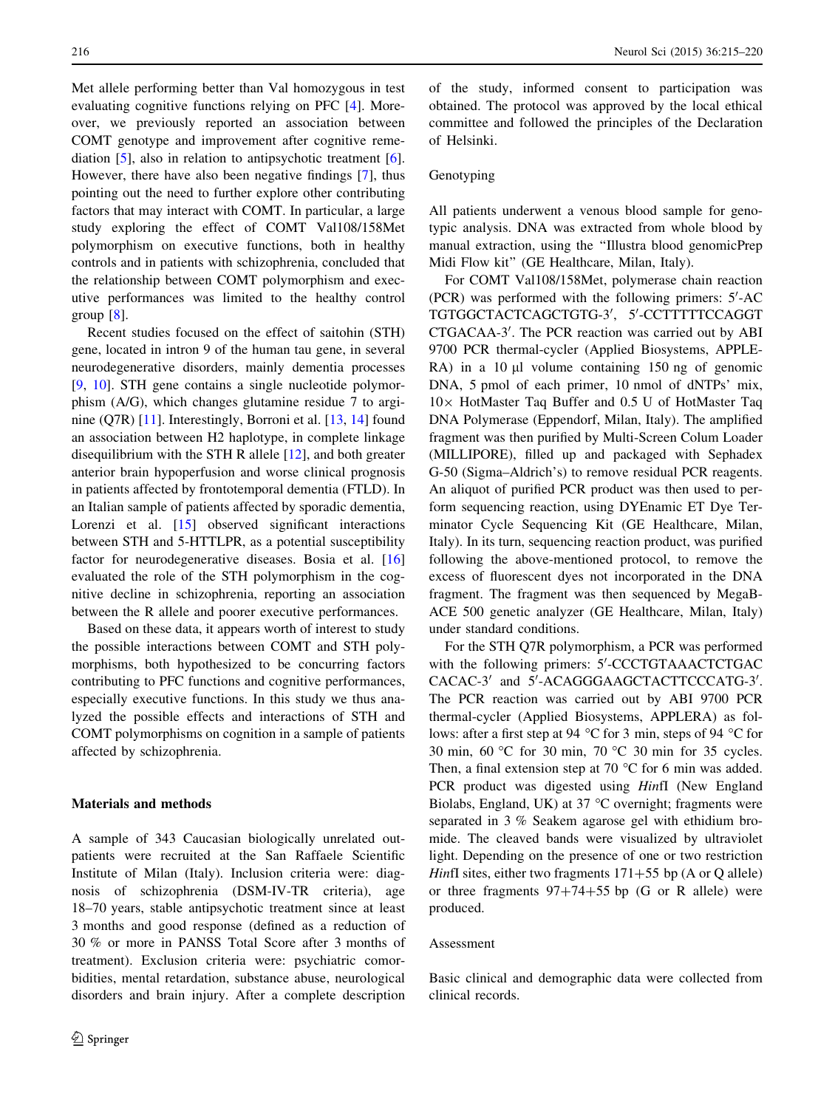Met allele performing better than Val homozygous in test evaluating cognitive functions relying on PFC [[4\]](#page-4-0). Moreover, we previously reported an association between COMT genotype and improvement after cognitive remediation [[5\]](#page-4-0), also in relation to antipsychotic treatment [\[6](#page-4-0)]. However, there have also been negative findings [\[7](#page-4-0)], thus pointing out the need to further explore other contributing factors that may interact with COMT. In particular, a large study exploring the effect of COMT Val108/158Met polymorphism on executive functions, both in healthy controls and in patients with schizophrenia, concluded that the relationship between COMT polymorphism and executive performances was limited to the healthy control group [[8\]](#page-4-0).

Recent studies focused on the effect of saitohin (STH) gene, located in intron 9 of the human tau gene, in several neurodegenerative disorders, mainly dementia processes [\[9](#page-4-0), [10\]](#page-4-0). STH gene contains a single nucleotide polymorphism (A/G), which changes glutamine residue 7 to arginine (Q7R) [\[11](#page-5-0)]. Interestingly, Borroni et al. [\[13](#page-5-0), [14\]](#page-5-0) found an association between H2 haplotype, in complete linkage disequilibrium with the STH R allele [[12](#page-5-0)], and both greater anterior brain hypoperfusion and worse clinical prognosis in patients affected by frontotemporal dementia (FTLD). In an Italian sample of patients affected by sporadic dementia, Lorenzi et al. [[15\]](#page-5-0) observed significant interactions between STH and 5-HTTLPR, as a potential susceptibility factor for neurodegenerative diseases. Bosia et al. [[16\]](#page-5-0) evaluated the role of the STH polymorphism in the cognitive decline in schizophrenia, reporting an association between the R allele and poorer executive performances.

Based on these data, it appears worth of interest to study the possible interactions between COMT and STH polymorphisms, both hypothesized to be concurring factors contributing to PFC functions and cognitive performances, especially executive functions. In this study we thus analyzed the possible effects and interactions of STH and COMT polymorphisms on cognition in a sample of patients affected by schizophrenia.

# Materials and methods

A sample of 343 Caucasian biologically unrelated outpatients were recruited at the San Raffaele Scientific Institute of Milan (Italy). Inclusion criteria were: diagnosis of schizophrenia (DSM-IV-TR criteria), age 18–70 years, stable antipsychotic treatment since at least 3 months and good response (defined as a reduction of 30 % or more in PANSS Total Score after 3 months of treatment). Exclusion criteria were: psychiatric comorbidities, mental retardation, substance abuse, neurological disorders and brain injury. After a complete description of the study, informed consent to participation was obtained. The protocol was approved by the local ethical committee and followed the principles of the Declaration of Helsinki.

# Genotyping

All patients underwent a venous blood sample for genotypic analysis. DNA was extracted from whole blood by manual extraction, using the ''Illustra blood genomicPrep Midi Flow kit'' (GE Healthcare, Milan, Italy).

For COMT Val108/158Met, polymerase chain reaction (PCR) was performed with the following primers: 5'-AC TGTGGCTACTCAGCTGTG-3', 5'-CCTTTTTCCAGGT CTGACAA-3'. The PCR reaction was carried out by ABI 9700 PCR thermal-cycler (Applied Biosystems, APPLE-RA) in a  $10 \mu l$  volume containing 150 ng of genomic DNA, 5 pmol of each primer, 10 nmol of dNTPs' mix,  $10\times$  HotMaster Taq Buffer and 0.5 U of HotMaster Taq DNA Polymerase (Eppendorf, Milan, Italy). The amplified fragment was then purified by Multi-Screen Colum Loader (MILLIPORE), filled up and packaged with Sephadex G-50 (Sigma–Aldrich's) to remove residual PCR reagents. An aliquot of purified PCR product was then used to perform sequencing reaction, using DYEnamic ET Dye Terminator Cycle Sequencing Kit (GE Healthcare, Milan, Italy). In its turn, sequencing reaction product, was purified following the above-mentioned protocol, to remove the excess of fluorescent dyes not incorporated in the DNA fragment. The fragment was then sequenced by MegaB-ACE 500 genetic analyzer (GE Healthcare, Milan, Italy) under standard conditions.

For the STH Q7R polymorphism, a PCR was performed with the following primers: 5'-CCCTGTAAACTCTGAC CACAC-3' and 5'-ACAGGGAAGCTACTTCCCATG-3'. The PCR reaction was carried out by ABI 9700 PCR thermal-cycler (Applied Biosystems, APPLERA) as follows: after a first step at 94  $\degree$ C for 3 min, steps of 94  $\degree$ C for 30 min, 60 °C for 30 min, 70 °C 30 min for 35 cycles. Then, a final extension step at 70  $\degree$ C for 6 min was added. PCR product was digested using HinfI (New England Biolabs, England, UK) at  $37^{\circ}$ C overnight; fragments were separated in 3 % Seakem agarose gel with ethidium bromide. The cleaved bands were visualized by ultraviolet light. Depending on the presence of one or two restriction *HinfI* sites, either two fragments  $171+55$  bp (A or Q allele) or three fragments  $97+74+55$  bp (G or R allele) were produced.

#### Assessment

Basic clinical and demographic data were collected from clinical records.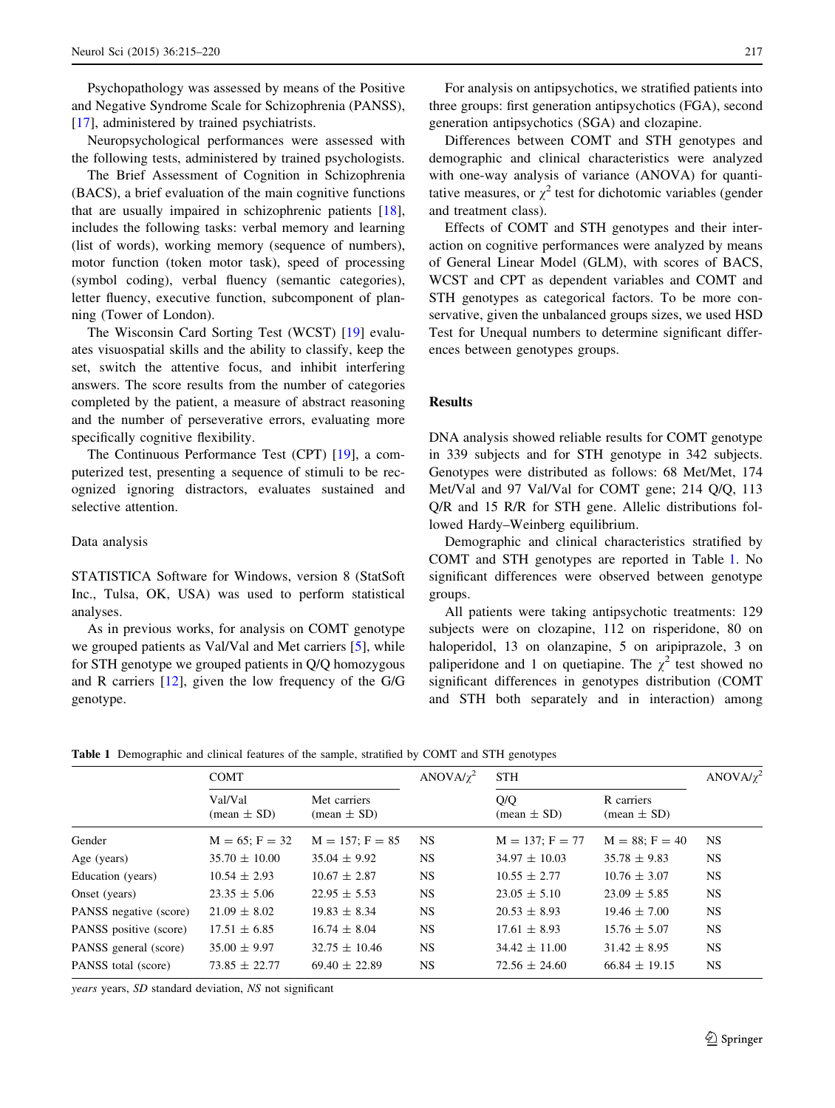Psychopathology was assessed by means of the Positive and Negative Syndrome Scale for Schizophrenia (PANSS), [\[17](#page-5-0)], administered by trained psychiatrists.

Neuropsychological performances were assessed with the following tests, administered by trained psychologists.

The Brief Assessment of Cognition in Schizophrenia (BACS), a brief evaluation of the main cognitive functions that are usually impaired in schizophrenic patients [\[18](#page-5-0)], includes the following tasks: verbal memory and learning (list of words), working memory (sequence of numbers), motor function (token motor task), speed of processing (symbol coding), verbal fluency (semantic categories), letter fluency, executive function, subcomponent of planning (Tower of London).

The Wisconsin Card Sorting Test (WCST) [[19\]](#page-5-0) evaluates visuospatial skills and the ability to classify, keep the set, switch the attentive focus, and inhibit interfering answers. The score results from the number of categories completed by the patient, a measure of abstract reasoning and the number of perseverative errors, evaluating more specifically cognitive flexibility.

The Continuous Performance Test (CPT) [\[19](#page-5-0)], a computerized test, presenting a sequence of stimuli to be recognized ignoring distractors, evaluates sustained and selective attention.

#### Data analysis

STATISTICA Software for Windows, version 8 (StatSoft Inc., Tulsa, OK, USA) was used to perform statistical analyses.

As in previous works, for analysis on COMT genotype we grouped patients as Val/Val and Met carriers [\[5](#page-4-0)], while for STH genotype we grouped patients in Q/Q homozygous and R carriers [[12\]](#page-5-0), given the low frequency of the G/G genotype.

For analysis on antipsychotics, we stratified patients into three groups: first generation antipsychotics (FGA), second generation antipsychotics (SGA) and clozapine.

Differences between COMT and STH genotypes and demographic and clinical characteristics were analyzed with one-way analysis of variance (ANOVA) for quantitative measures, or  $\chi^2$  test for dichotomic variables (gender and treatment class).

Effects of COMT and STH genotypes and their interaction on cognitive performances were analyzed by means of General Linear Model (GLM), with scores of BACS, WCST and CPT as dependent variables and COMT and STH genotypes as categorical factors. To be more conservative, given the unbalanced groups sizes, we used HSD Test for Unequal numbers to determine significant differences between genotypes groups.

## Results

DNA analysis showed reliable results for COMT genotype in 339 subjects and for STH genotype in 342 subjects. Genotypes were distributed as follows: 68 Met/Met, 174 Met/Val and 97 Val/Val for COMT gene; 214 Q/Q, 113 Q/R and 15 R/R for STH gene. Allelic distributions followed Hardy–Weinberg equilibrium.

Demographic and clinical characteristics stratified by COMT and STH genotypes are reported in Table 1. No significant differences were observed between genotype groups.

All patients were taking antipsychotic treatments: 129 subjects were on clozapine, 112 on risperidone, 80 on haloperidol, 13 on olanzapine, 5 on aripiprazole, 3 on paliperidone and 1 on quetiapine. The  $\chi^2$  test showed no significant differences in genotypes distribution (COMT and STH both separately and in interaction) among

|                        | <b>COMT</b>                              |                                               | ANOVA/ $\chi^2$ | <b>STH</b>             |                                             | $ANOVA/\gamma^2$ |
|------------------------|------------------------------------------|-----------------------------------------------|-----------------|------------------------|---------------------------------------------|------------------|
|                        | Val/Val<br>$(\text{mean} \pm \text{SD})$ | Met carriers<br>$(\text{mean} \pm \text{SD})$ |                 | Q/Q<br>(mean $\pm$ SD) | R carriers<br>$(\text{mean} \pm \text{SD})$ |                  |
| Gender                 | $M = 65$ ; $F = 32$                      | $M = 157$ ; $F = 85$                          | <b>NS</b>       | $M = 137; F = 77$      | $M = 88$ ; $F = 40$                         | NS.              |
| Age (years)            | $35.70 \pm 10.00$                        | $35.04 \pm 9.92$                              | <b>NS</b>       | $34.97 \pm 10.03$      | $35.78 \pm 9.83$                            | NS.              |
| Education (years)      | $10.54 \pm 2.93$                         | $10.67 \pm 2.87$                              | <b>NS</b>       | $10.55 \pm 2.77$       | $10.76 \pm 3.07$                            | NS.              |
| Onset (years)          | $23.35 \pm 5.06$                         | $22.95 \pm 5.53$                              | <b>NS</b>       | $23.05 \pm 5.10$       | $23.09 \pm 5.85$                            | <b>NS</b>        |
| PANSS negative (score) | $21.09 \pm 8.02$                         | $19.83 \pm 8.34$                              | <b>NS</b>       | $20.53 \pm 8.93$       | $19.46 \pm 7.00$                            | NS.              |
| PANSS positive (score) | $17.51 \pm 6.85$                         | $16.74 \pm 8.04$                              | <b>NS</b>       | $17.61 \pm 8.93$       | $15.76 \pm 5.07$                            | NS.              |
| PANSS general (score)  | $35.00 \pm 9.97$                         | $32.75 \pm 10.46$                             | <b>NS</b>       | $34.42 \pm 11.00$      | $31.42 \pm 8.95$                            | NS.              |
| PANSS total (score)    | $73.85 \pm 22.77$                        | $69.40 \pm 22.89$                             | <b>NS</b>       | $72.56 \pm 24.60$      | $66.84 \pm 19.15$                           | NS.              |

Table 1 Demographic and clinical features of the sample, stratified by COMT and STH genotypes

years years, SD standard deviation, NS not significant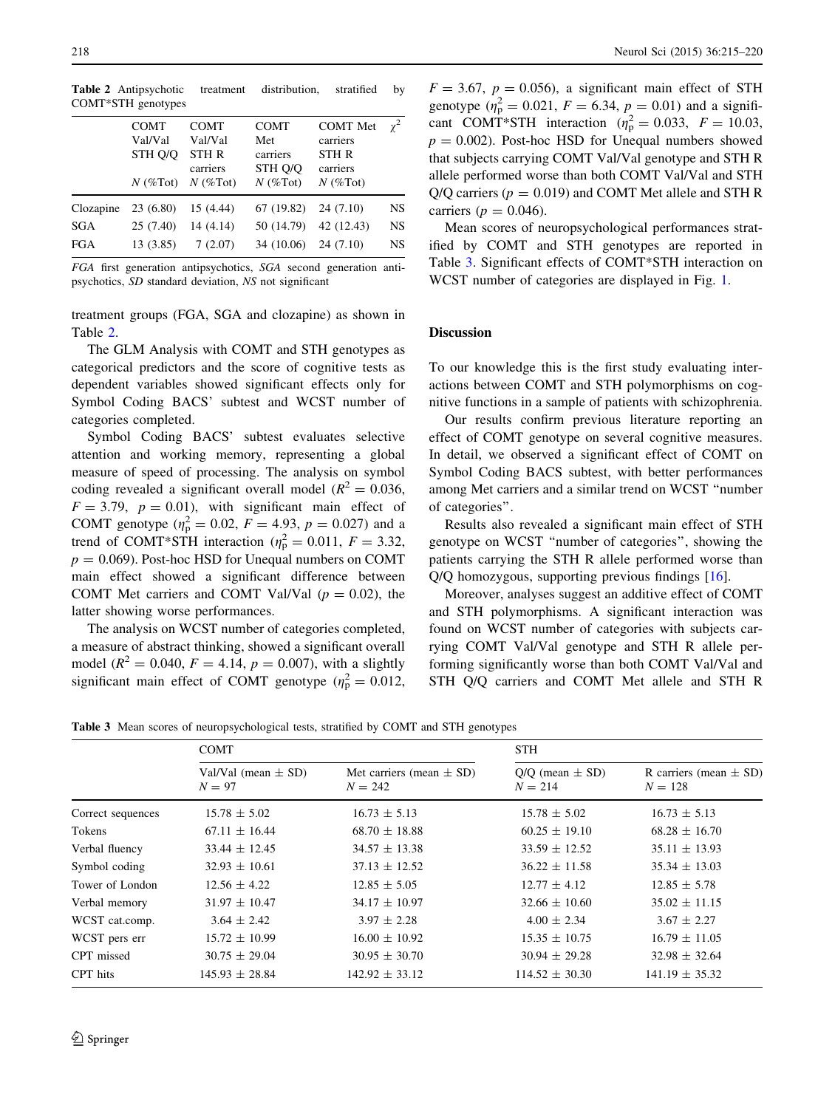Table 2 Antipsychotic treatment distribution, stratified by COMT\*STH genotypes

|            | <b>COMT</b><br>Val/Val<br>STH Q/Q<br>$N$ (%Tot) | <b>COMT</b><br>Val/Val<br><b>STHR</b><br>carriers<br>$N$ (%Tot) | <b>COMT</b><br>Met<br>carriers<br>STH O/O<br>$N$ (%Tot) | <b>COMT</b> Met<br>carriers<br><b>STH R</b><br>carriers<br>$N$ (%Tot) | $\chi^2$ |
|------------|-------------------------------------------------|-----------------------------------------------------------------|---------------------------------------------------------|-----------------------------------------------------------------------|----------|
| Clozapine  | 23(6.80)                                        | 15(4.44)                                                        | 67(19.82)                                               | 24(7.10)                                                              | NS       |
| <b>SGA</b> | 25(7.40)                                        | 14(4.14)                                                        | 50 (14.79)                                              | 42 (12.43)                                                            | NS       |
| FGA        | 13(3.85)                                        | 7(2.07)                                                         | 34 (10.06)                                              | 24(7.10)                                                              | NS       |

FGA first generation antipsychotics, SGA second generation antipsychotics, SD standard deviation, NS not significant

treatment groups (FGA, SGA and clozapine) as shown in Table 2.

The GLM Analysis with COMT and STH genotypes as categorical predictors and the score of cognitive tests as dependent variables showed significant effects only for Symbol Coding BACS' subtest and WCST number of categories completed.

Symbol Coding BACS' subtest evaluates selective attention and working memory, representing a global measure of speed of processing. The analysis on symbol coding revealed a significant overall model ( $R^2 = 0.036$ ,  $F = 3.79$ ,  $p = 0.01$ , with significant main effect of COMT genotype ( $\eta_{\rm p}^2 = 0.02$ ,  $F = 4.93$ ,  $p = 0.027$ ) and a trend of COMT\*STH interaction ( $\eta_{\rm p}^2 = 0.011$ ,  $F = 3.32$ ,  $p = 0.069$ ). Post-hoc HSD for Unequal numbers on COMT main effect showed a significant difference between COMT Met carriers and COMT Val/Val ( $p = 0.02$ ), the latter showing worse performances.

The analysis on WCST number of categories completed, a measure of abstract thinking, showed a significant overall model ( $R^2 = 0.040$ ,  $F = 4.14$ ,  $p = 0.007$ ), with a slightly significant main effect of COMT genotype ( $\eta_{\rm p}^2 = 0.012$ ,  $F = 3.67$ ,  $p = 0.056$ , a significant main effect of STH genotype ( $\eta_p^2 = 0.021$ ,  $F = 6.34$ ,  $p = 0.01$ ) and a significant COMT\*STH interaction ( $\eta_{\rm p}^2 = 0.033$ ,  $F = 10.03$ ,  $p = 0.002$ ). Post-hoc HSD for Unequal numbers showed that subjects carrying COMT Val/Val genotype and STH R allele performed worse than both COMT Val/Val and STH Q/Q carriers ( $p = 0.019$ ) and COMT Met allele and STH R carriers ( $p = 0.046$ ).

Mean scores of neuropsychological performances stratified by COMT and STH genotypes are reported in Table 3. Significant effects of COMT\*STH interaction on WCST number of categories are displayed in Fig. [1](#page-4-0).

## **Discussion**

To our knowledge this is the first study evaluating interactions between COMT and STH polymorphisms on cognitive functions in a sample of patients with schizophrenia.

Our results confirm previous literature reporting an effect of COMT genotype on several cognitive measures. In detail, we observed a significant effect of COMT on Symbol Coding BACS subtest, with better performances among Met carriers and a similar trend on WCST ''number of categories''.

Results also revealed a significant main effect of STH genotype on WCST ''number of categories'', showing the patients carrying the STH R allele performed worse than Q/Q homozygous, supporting previous findings [\[16](#page-5-0)].

Moreover, analyses suggest an additive effect of COMT and STH polymorphisms. A significant interaction was found on WCST number of categories with subjects carrying COMT Val/Val genotype and STH R allele performing significantly worse than both COMT Val/Val and STH Q/Q carriers and COMT Met allele and STH R

Table 3 Mean scores of neuropsychological tests, stratified by COMT and STH genotypes

|                   | <b>COMT</b>                         |                                           | <b>STH</b>                         |                                         |  |
|-------------------|-------------------------------------|-------------------------------------------|------------------------------------|-----------------------------------------|--|
|                   | Val/Val (mean $\pm$ SD)<br>$N = 97$ | Met carriers (mean $\pm$ SD)<br>$N = 242$ | $O/O$ (mean $\pm$ SD)<br>$N = 214$ | R carriers (mean $\pm$ SD)<br>$N = 128$ |  |
| Correct sequences | $15.78 \pm 5.02$                    | $16.73 \pm 5.13$                          | $15.78 \pm 5.02$                   | $16.73 \pm 5.13$                        |  |
| Tokens            | $67.11 \pm 16.44$                   | $68.70 \pm 18.88$                         | $60.25 \pm 19.10$                  | $68.28 \pm 16.70$                       |  |
| Verbal fluency    | $33.44 \pm 12.45$                   | $34.57 \pm 13.38$                         | $33.59 \pm 12.52$                  | $35.11 \pm 13.93$                       |  |
| Symbol coding     | $32.93 \pm 10.61$                   | $37.13 \pm 12.52$                         | $36.22 \pm 11.58$                  | $35.34 \pm 13.03$                       |  |
| Tower of London   | $12.56 \pm 4.22$                    | $12.85 \pm 5.05$                          | $12.77 \pm 4.12$                   | $12.85 \pm 5.78$                        |  |
| Verbal memory     | $31.97 \pm 10.47$                   | $34.17 \pm 10.97$                         | $32.66 \pm 10.60$                  | $35.02 \pm 11.15$                       |  |
| WCST cat.comp.    | $3.64 \pm 2.42$                     | $3.97 \pm 2.28$                           | $4.00 \pm 2.34$                    | $3.67 \pm 2.27$                         |  |
| WCST pers err     | $15.72 \pm 10.99$                   | $16.00 \pm 10.92$                         | $15.35 \pm 10.75$                  | $16.79 \pm 11.05$                       |  |
| CPT missed        | $30.75 \pm 29.04$                   | $30.95 \pm 30.70$                         | $30.94 \pm 29.28$                  | $32.98 \pm 32.64$                       |  |
| CPT hits          | $145.93 \pm 28.84$                  | $142.92 \pm 33.12$                        | $114.52 \pm 30.30$                 | $141.19 \pm 35.32$                      |  |
|                   |                                     |                                           |                                    |                                         |  |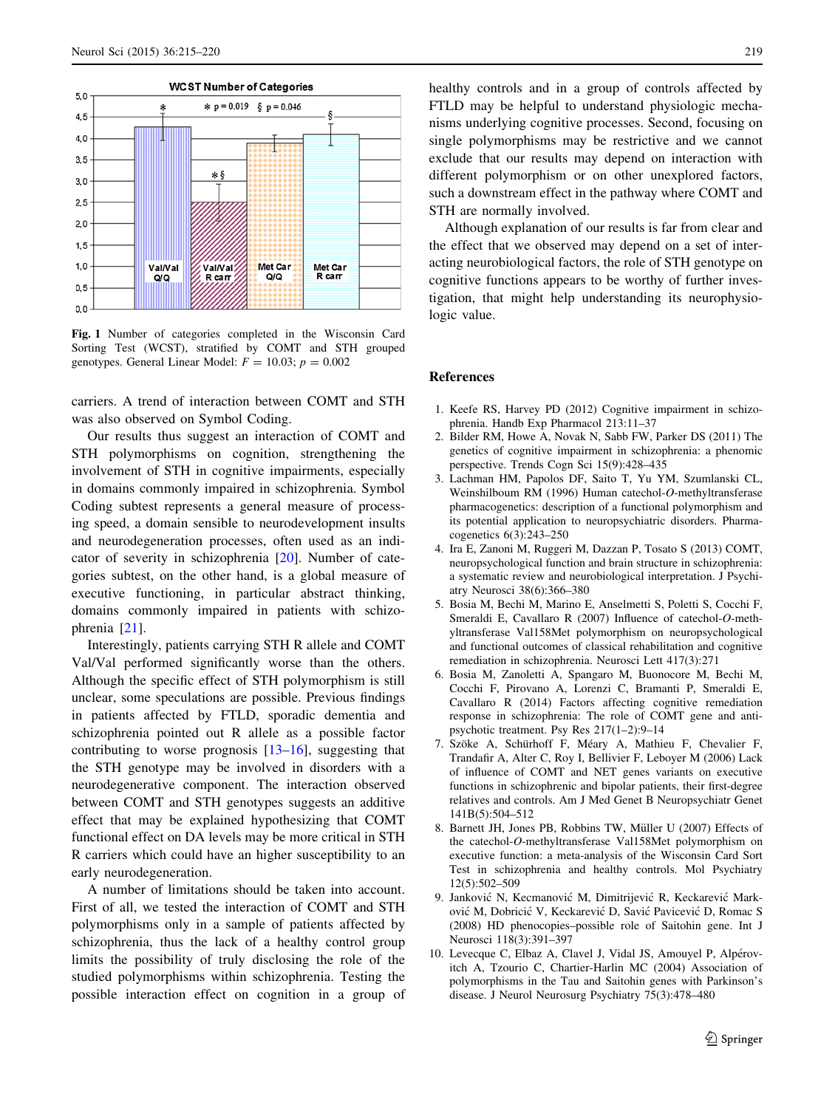<span id="page-4-0"></span>

Fig. 1 Number of categories completed in the Wisconsin Card Sorting Test (WCST), stratified by COMT and STH grouped genotypes. General Linear Model:  $F = 10.03$ ;  $p = 0.002$ 

carriers. A trend of interaction between COMT and STH was also observed on Symbol Coding.

Our results thus suggest an interaction of COMT and STH polymorphisms on cognition, strengthening the involvement of STH in cognitive impairments, especially in domains commonly impaired in schizophrenia. Symbol Coding subtest represents a general measure of processing speed, a domain sensible to neurodevelopment insults and neurodegeneration processes, often used as an indicator of severity in schizophrenia [[20\]](#page-5-0). Number of categories subtest, on the other hand, is a global measure of executive functioning, in particular abstract thinking, domains commonly impaired in patients with schizophrenia [[21\]](#page-5-0).

Interestingly, patients carrying STH R allele and COMT Val/Val performed significantly worse than the others. Although the specific effect of STH polymorphism is still unclear, some speculations are possible. Previous findings in patients affected by FTLD, sporadic dementia and schizophrenia pointed out R allele as a possible factor contributing to worse prognosis [[13–16\]](#page-5-0), suggesting that the STH genotype may be involved in disorders with a neurodegenerative component. The interaction observed between COMT and STH genotypes suggests an additive effect that may be explained hypothesizing that COMT functional effect on DA levels may be more critical in STH R carriers which could have an higher susceptibility to an early neurodegeneration.

A number of limitations should be taken into account. First of all, we tested the interaction of COMT and STH polymorphisms only in a sample of patients affected by schizophrenia, thus the lack of a healthy control group limits the possibility of truly disclosing the role of the studied polymorphisms within schizophrenia. Testing the possible interaction effect on cognition in a group of healthy controls and in a group of controls affected by FTLD may be helpful to understand physiologic mechanisms underlying cognitive processes. Second, focusing on single polymorphisms may be restrictive and we cannot exclude that our results may depend on interaction with different polymorphism or on other unexplored factors, such a downstream effect in the pathway where COMT and STH are normally involved.

Although explanation of our results is far from clear and the effect that we observed may depend on a set of interacting neurobiological factors, the role of STH genotype on cognitive functions appears to be worthy of further investigation, that might help understanding its neurophysiologic value.

## References

- 1. Keefe RS, Harvey PD (2012) Cognitive impairment in schizophrenia. Handb Exp Pharmacol 213:11–37
- 2. Bilder RM, Howe A, Novak N, Sabb FW, Parker DS (2011) The genetics of cognitive impairment in schizophrenia: a phenomic perspective. Trends Cogn Sci 15(9):428–435
- 3. Lachman HM, Papolos DF, Saito T, Yu YM, Szumlanski CL, Weinshilboum RM (1996) Human catechol-O-methyltransferase pharmacogenetics: description of a functional polymorphism and its potential application to neuropsychiatric disorders. Pharmacogenetics 6(3):243–250
- 4. Ira E, Zanoni M, Ruggeri M, Dazzan P, Tosato S (2013) COMT, neuropsychological function and brain structure in schizophrenia: a systematic review and neurobiological interpretation. J Psychiatry Neurosci 38(6):366–380
- 5. Bosia M, Bechi M, Marino E, Anselmetti S, Poletti S, Cocchi F, Smeraldi E, Cavallaro R (2007) Influence of catechol-O-methyltransferase Val158Met polymorphism on neuropsychological and functional outcomes of classical rehabilitation and cognitive remediation in schizophrenia. Neurosci Lett 417(3):271
- 6. Bosia M, Zanoletti A, Spangaro M, Buonocore M, Bechi M, Cocchi F, Pirovano A, Lorenzi C, Bramanti P, Smeraldi E, Cavallaro R (2014) Factors affecting cognitive remediation response in schizophrenia: The role of COMT gene and antipsychotic treatment. Psy Res 217(1–2):9–14
- 7. Szöke A, Schürhoff F, Méary A, Mathieu F, Chevalier F, Trandafir A, Alter C, Roy I, Bellivier F, Leboyer M (2006) Lack of influence of COMT and NET genes variants on executive functions in schizophrenic and bipolar patients, their first-degree relatives and controls. Am J Med Genet B Neuropsychiatr Genet 141B(5):504–512
- 8. Barnett JH, Jones PB, Robbins TW, Müller U (2007) Effects of the catechol-O-methyltransferase Val158Met polymorphism on executive function: a meta-analysis of the Wisconsin Card Sort Test in schizophrenia and healthy controls. Mol Psychiatry 12(5):502–509
- 9. Janković N, Kecmanović M, Dimitrijević R, Keckarević Marković M, Dobricić V, Keckarević D, Savić Pavicević D, Romac S (2008) HD phenocopies–possible role of Saitohin gene. Int J Neurosci 118(3):391–397
- 10. Levecque C, Elbaz A, Clavel J, Vidal JS, Amouyel P, Alpérovitch A, Tzourio C, Chartier-Harlin MC (2004) Association of polymorphisms in the Tau and Saitohin genes with Parkinson's disease. J Neurol Neurosurg Psychiatry 75(3):478-480